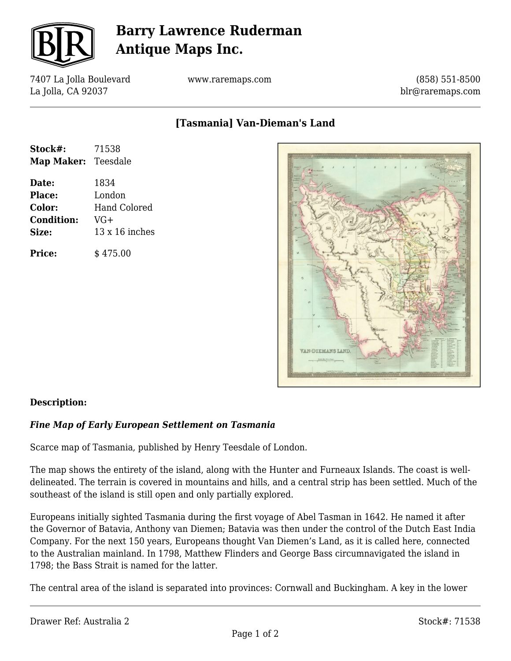

# **Barry Lawrence Ruderman Antique Maps Inc.**

7407 La Jolla Boulevard La Jolla, CA 92037

www.raremaps.com

(858) 551-8500 blr@raremaps.com

**[Tasmania] Van-Dieman's Land**

| Stock#:                    | 71538                 |
|----------------------------|-----------------------|
| <b>Map Maker:</b> Teesdale |                       |
| Date:                      | 1834                  |
| Place:                     | London                |
| Color:                     | Hand Colored          |
| <b>Condition:</b>          | VG+                   |
| Size:                      | $13 \times 16$ inches |
| <b>Price:</b>              | \$475.00              |



### **Description:**

#### *Fine Map of Early European Settlement on Tasmania*

Scarce map of Tasmania, published by Henry Teesdale of London.

The map shows the entirety of the island, along with the Hunter and Furneaux Islands. The coast is welldelineated. The terrain is covered in mountains and hills, and a central strip has been settled. Much of the southeast of the island is still open and only partially explored.

Europeans initially sighted Tasmania during the first voyage of Abel Tasman in 1642. He named it after the Governor of Batavia, Anthony van Diemen; Batavia was then under the control of the Dutch East India Company. For the next 150 years, Europeans thought Van Diemen's Land, as it is called here, connected to the Australian mainland. In 1798, Matthew Flinders and George Bass circumnavigated the island in 1798; the Bass Strait is named for the latter.

The central area of the island is separated into provinces: Cornwall and Buckingham. A key in the lower